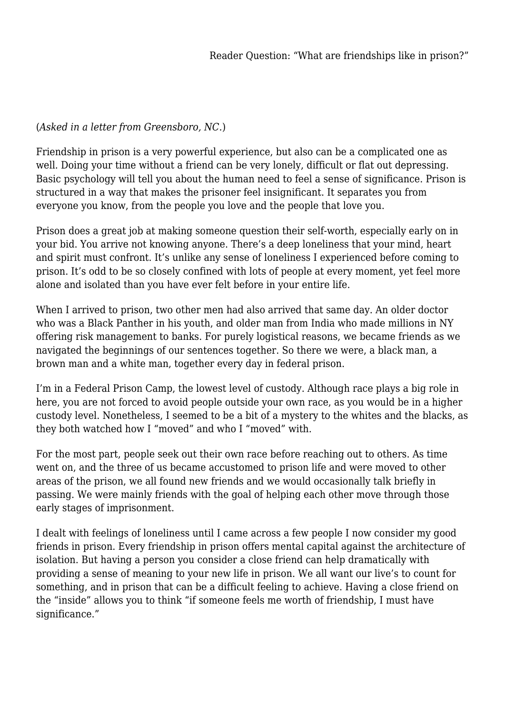## (*Asked in a letter from Greensboro, NC.*)

Friendship in prison is a very powerful experience, but also can be a complicated one as well. Doing your time without a friend can be very lonely, difficult or flat out depressing. Basic psychology will tell you about the human need to feel a sense of significance. Prison is structured in a way that makes the prisoner feel insignificant. It separates you from everyone you know, from the people you love and the people that love you.

Prison does a great job at making someone question their self-worth, especially early on in your bid. You arrive not knowing anyone. There's a deep loneliness that your mind, heart and spirit must confront. It's unlike any sense of loneliness I experienced before coming to prison. It's odd to be so closely confined with lots of people at every moment, yet feel more alone and isolated than you have ever felt before in your entire life.

When I arrived to prison, two other men had also arrived that same day. An older doctor who was a Black Panther in his youth, and older man from India who made millions in NY offering risk management to banks. For purely logistical reasons, we became friends as we navigated the beginnings of our sentences together. So there we were, a black man, a brown man and a white man, together every day in federal prison.

I'm in a Federal Prison Camp, the lowest level of custody. Although race plays a big role in here, you are not forced to avoid people outside your own race, as you would be in a higher custody level. Nonetheless, I seemed to be a bit of a mystery to the whites and the blacks, as they both watched how I "moved" and who I "moved" with.

For the most part, people seek out their own race before reaching out to others. As time went on, and the three of us became accustomed to prison life and were moved to other areas of the prison, we all found new friends and we would occasionally talk briefly in passing. We were mainly friends with the goal of helping each other move through those early stages of imprisonment.

I dealt with feelings of loneliness until I came across a few people I now consider my good friends in prison. Every friendship in prison offers mental capital against the architecture of isolation. But having a person you consider a close friend can help dramatically with providing a sense of meaning to your new life in prison. We all want our live's to count for something, and in prison that can be a difficult feeling to achieve. Having a close friend on the "inside" allows you to think "if someone feels me worth of friendship, I must have significance."